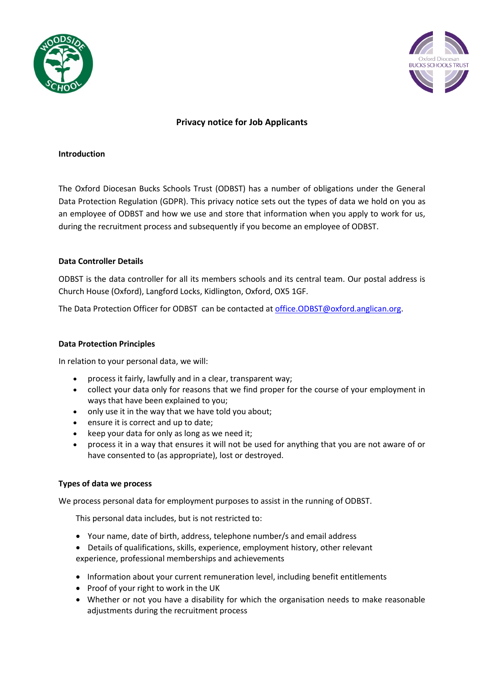



# **Privacy notice for Job Applicants**

#### **Introduction**

The Oxford Diocesan Bucks Schools Trust (ODBST) has a number of obligations under the General Data Protection Regulation (GDPR). This privacy notice sets out the types of data we hold on you as an employee of ODBST and how we use and store that information when you apply to work for us, during the recruitment process and subsequently if you become an employee of ODBST.

## **Data Controller Details**

ODBST is the data controller for all its members schools and its central team. Our postal address is Church House (Oxford), Langford Locks, Kidlington, Oxford, OX5 1GF.

The Data Protection Officer for ODBST can be contacted a[t office.ODBST@oxford.anglican.org.](mailto:office.ODBST@oxford.anglican.org)

# **Data Protection Principles**

In relation to your personal data, we will:

- process it fairly, lawfully and in a clear, transparent way;
- collect your data only for reasons that we find proper for the course of your employment in ways that have been explained to you;
- only use it in the way that we have told you about;
- ensure it is correct and up to date;
- keep your data for only as long as we need it;
- process it in a way that ensures it will not be used for anything that you are not aware of or have consented to (as appropriate), lost or destroyed.

## **Types of data we process**

We process personal data for employment purposes to assist in the running of ODBST.

This personal data includes, but is not restricted to:

- Your name, date of birth, address, telephone number/s and email address
- Details of qualifications, skills, experience, employment history, other relevant experience, professional memberships and achievements
- Information about your current remuneration level, including benefit entitlements
- Proof of your right to work in the UK
- Whether or not you have a disability for which the organisation needs to make reasonable adjustments during the recruitment process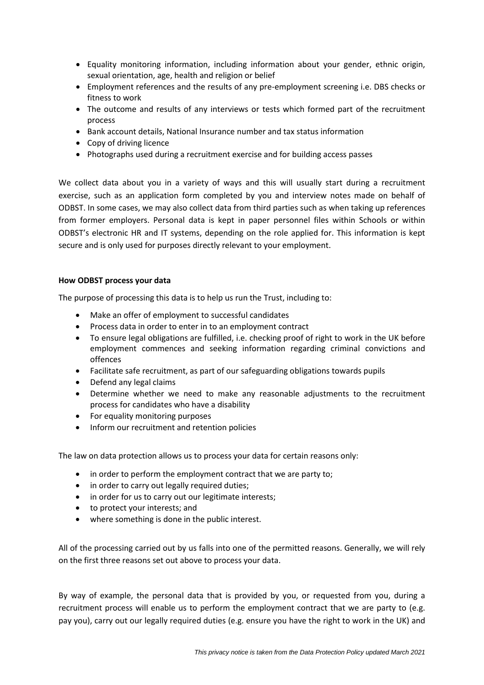- Equality monitoring information, including information about your gender, ethnic origin, sexual orientation, age, health and religion or belief
- Employment references and the results of any pre-employment screening i.e. DBS checks or fitness to work
- The outcome and results of any interviews or tests which formed part of the recruitment process
- Bank account details, National Insurance number and tax status information
- Copy of driving licence
- Photographs used during a recruitment exercise and for building access passes

We collect data about you in a variety of ways and this will usually start during a recruitment exercise, such as an application form completed by you and interview notes made on behalf of ODBST. In some cases, we may also collect data from third parties such as when taking up references from former employers. Personal data is kept in paper personnel files within Schools or within ODBST's electronic HR and IT systems, depending on the role applied for. This information is kept secure and is only used for purposes directly relevant to your employment.

#### **How ODBST process your data**

The purpose of processing this data is to help us run the Trust, including to:

- Make an offer of employment to successful candidates
- Process data in order to enter in to an employment contract
- To ensure legal obligations are fulfilled, i.e. checking proof of right to work in the UK before employment commences and seeking information regarding criminal convictions and offences
- Facilitate safe recruitment, as part of our safeguarding obligations towards pupils
- Defend any legal claims
- Determine whether we need to make any reasonable adjustments to the recruitment process for candidates who have a disability
- For equality monitoring purposes
- Inform our recruitment and retention policies

The law on data protection allows us to process your data for certain reasons only:

- in order to perform the employment contract that we are party to;
- in order to carry out legally required duties;
- in order for us to carry out our legitimate interests;
- to protect your interests; and
- where something is done in the public interest.

All of the processing carried out by us falls into one of the permitted reasons. Generally, we will rely on the first three reasons set out above to process your data.

By way of example, the personal data that is provided by you, or requested from you, during a recruitment process will enable us to perform the employment contract that we are party to (e.g. pay you), carry out our legally required duties (e.g. ensure you have the right to work in the UK) and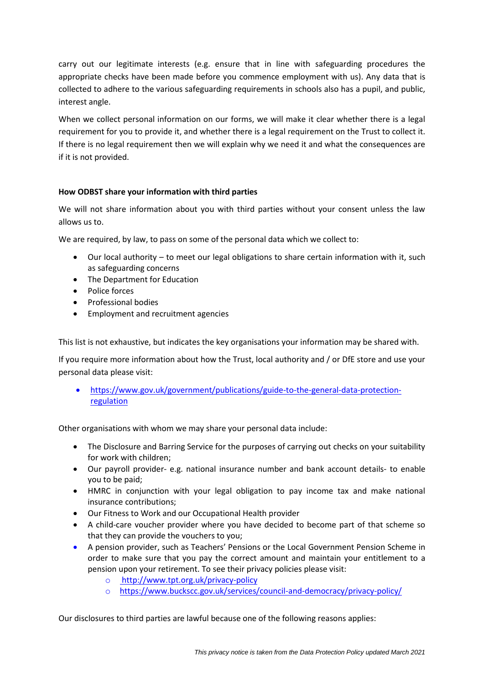carry out our legitimate interests (e.g. ensure that in line with safeguarding procedures the appropriate checks have been made before you commence employment with us). Any data that is collected to adhere to the various safeguarding requirements in schools also has a pupil, and public, interest angle.

When we collect personal information on our forms, we will make it clear whether there is a legal requirement for you to provide it, and whether there is a legal requirement on the Trust to collect it. If there is no legal requirement then we will explain why we need it and what the consequences are if it is not provided.

# **How ODBST share your information with third parties**

We will not share information about you with third parties without your consent unless the law allows us to.

We are required, by law, to pass on some of the personal data which we collect to:

- Our local authority to meet our legal obligations to share certain information with it, such as safeguarding concerns
- The Department for Education
- Police forces
- Professional bodies
- **•** Employment and recruitment agencies

This list is not exhaustive, but indicates the key organisations your information may be shared with.

If you require more information about how the Trust, local authority and / or DfE store and use your personal data please visit:

 https://www.gov.uk/government/publications/guide-to-the-general-data-protectionregulation

Other organisations with whom we may share your personal data include:

- The Disclosure and Barring Service for the purposes of carrying out checks on your suitability for work with children;
- Our payroll provider- e.g. national insurance number and bank account details- to enable you to be paid;
- HMRC in conjunction with your legal obligation to pay income tax and make national insurance contributions;
- Our Fitness to Work and our Occupational Health provider
- A child-care voucher provider where you have decided to become part of that scheme so that they can provide the vouchers to you;
- A pension provider, such as Teachers' Pensions or the Local Government Pension Scheme in order to make sure that you pay the correct amount and maintain your entitlement to a pension upon your retirement. To see their privacy policies please visit:
	- o <http://www.tpt.org.uk/privacy-policy>
	- o <https://www.buckscc.gov.uk/services/council-and-democracy/privacy-policy/>

Our disclosures to third parties are lawful because one of the following reasons applies: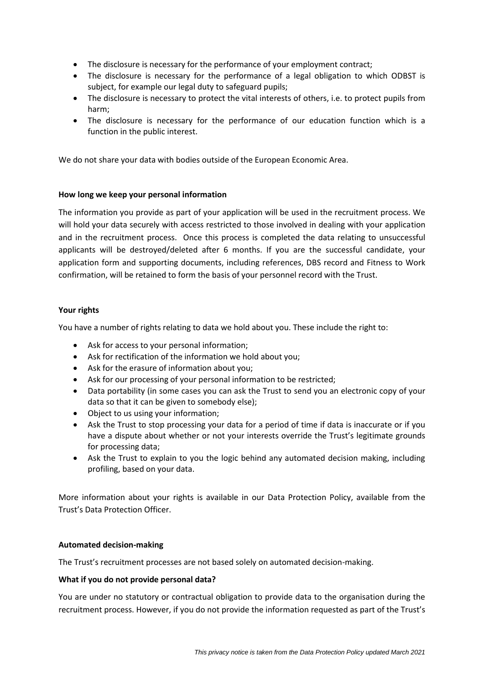- The disclosure is necessary for the performance of your employment contract;
- The disclosure is necessary for the performance of a legal obligation to which ODBST is subject, for example our legal duty to safeguard pupils;
- The disclosure is necessary to protect the vital interests of others, i.e. to protect pupils from harm;
- The disclosure is necessary for the performance of our education function which is a function in the public interest.

We do not share your data with bodies outside of the European Economic Area.

# **How long we keep your personal information**

The information you provide as part of your application will be used in the recruitment process. We will hold your data securely with access restricted to those involved in dealing with your application and in the recruitment process. Once this process is completed the data relating to unsuccessful applicants will be destroyed/deleted after 6 months. If you are the successful candidate, your application form and supporting documents, including references, DBS record and Fitness to Work confirmation, will be retained to form the basis of your personnel record with the Trust.

# **Your rights**

You have a number of rights relating to data we hold about you. These include the right to:

- Ask for access to your personal information;
- Ask for rectification of the information we hold about you;
- Ask for the erasure of information about you;
- Ask for our processing of your personal information to be restricted;
- Data portability (in some cases you can ask the Trust to send you an electronic copy of your data so that it can be given to somebody else);
- Object to us using your information;
- Ask the Trust to stop processing your data for a period of time if data is inaccurate or if you have a dispute about whether or not your interests override the Trust's legitimate grounds for processing data;
- Ask the Trust to explain to you the logic behind any automated decision making, including profiling, based on your data.

More information about your rights is available in our Data Protection Policy, available from the Trust's Data Protection Officer.

## **Automated decision-making**

The Trust's recruitment processes are not based solely on automated decision-making.

## **What if you do not provide personal data?**

You are under no statutory or contractual obligation to provide data to the organisation during the recruitment process. However, if you do not provide the information requested as part of the Trust's